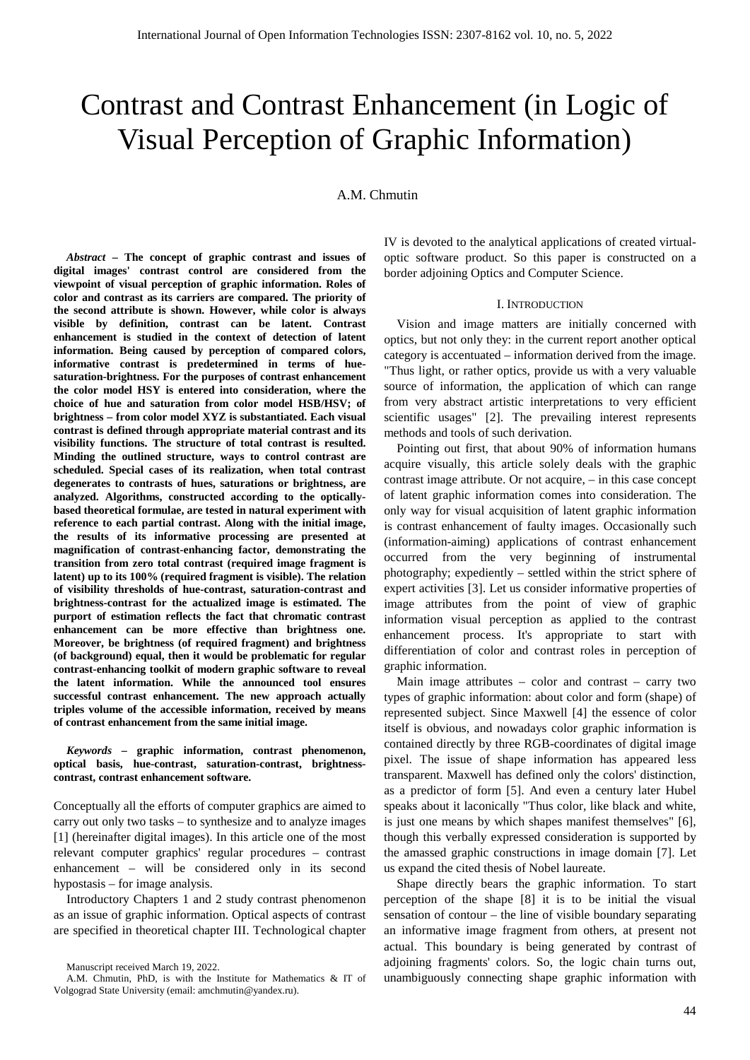# Contrast and Contrast Enhancement (in Logic of Visual Perception of Graphic Information)

A.M. Chmutin

*Abstract* **– The concept of graphic contrast and issues of digital images' contrast control are considered from the viewpoint of visual perception of graphic information. Roles of color and contrast as its carriers are compared. The priority of the second attribute is shown. However, while color is always visible by definition, contrast can be latent. Contrast enhancement is studied in the context of detection of latent information. Being caused by perception of compared colors, informative contrast is predetermined in terms of huesaturation-brightness. For the purposes of contrast enhancement the color model HSY is entered into consideration, where the choice of hue and saturation from color model HSB/HSV; of brightness – from color model XYZ is substantiated. Each visual contrast is defined through appropriate material contrast and its visibility functions. The structure of total contrast is resulted. Minding the outlined structure, ways to control contrast are scheduled. Special cases of its realization, when total contrast degenerates to contrasts of hues, saturations or brightness, are analyzed. Algorithms, constructed according to the opticallybased theoretical formulae, are tested in natural experiment with reference to each partial contrast. Along with the initial image, the results of its informative processing are presented at magnification of contrast-enhancing factor, demonstrating the transition from zero total contrast (required image fragment is latent) up to its 100% (required fragment is visible). The relation of visibility thresholds of hue-contrast, saturation-contrast and brightness-contrast for the actualized image is estimated. The purport of estimation reflects the fact that chromatic contrast enhancement can be more effective than brightness one. Moreover, be brightness (of required fragment) and brightness (of background) equal, then it would be problematic for regular contrast-enhancing toolkit of modern graphic software to reveal the latent information. While the announced tool ensures successful contrast enhancement. The new approach actually triples volume of the accessible information, received by means of contrast enhancement from the same initial image.**

*Keywords* **– graphic information, contrast phenomenon, optical basis, hue-contrast, saturation-contrast, brightnesscontrast, contrast enhancement software.**

Conceptually all the efforts of computer graphics are aimed to carry out only two tasks – to synthesize and to analyze images [1] (hereinafter digital images). In this article one of the most relevant computer graphics' regular procedures – contrast enhancement – will be considered only in its second hypostasis – for image analysis.

Introductory Chapters 1 and 2 study contrast phenomenon as an issue of graphic information. Optical aspects of contrast are specified in theoretical chapter III. Technological chapter IV is devoted to the analytical applications of created virtualoptic software product. So this paper is constructed on a border adjoining Optics and Computer Science.

## I. INTRODUCTION

Vision and image matters are initially concerned with optics, but not only they: in the current report another optical category is accentuated – information derived from the image. "Thus light, or rather optics, provide us with a very valuable source of information, the application of which can range from very abstract artistic interpretations to very efficient scientific usages" [2]. The prevailing interest represents methods and tools of such derivation.

Pointing out first, that about 90% of information humans acquire visually, this article solely deals with the graphic contrast image attribute. Or not acquire, – in this case concept of latent graphic information comes into consideration. The only way for visual acquisition of latent graphic information is contrast enhancement of faulty images. Occasionally such (information-aiming) applications of contrast enhancement occurred from the very beginning of instrumental photography; expediently – settled within the strict sphere of expert activities [3]. Let us consider informative properties of image attributes from the point of view of graphic information visual perception as applied to the contrast enhancement process. It's appropriate to start with differentiation of color and contrast roles in perception of graphic information.

Main image attributes – color and contrast – carry two types of graphic information: about color and form (shape) of represented subject. Since Maxwell [4] the essence of color itself is obvious, and nowadays color graphic information is contained directly by three RGB-coordinates of digital image pixel. The issue of shape information has appeared less transparent. Maxwell has defined only the colors' distinction, as a predictor of form [5]. And even a century later Hubel speaks about it laconically "Thus color, like black and white, is just one means by which shapes manifest themselves" [6], though this verbally expressed consideration is supported by the amassed graphic constructions in image domain [7]. Let us expand the cited thesis of Nobel laureate.

Shape directly bears the graphic information. To start perception of the shape [8] it is to be initial the visual sensation of contour – the line of visible boundary separating an informative image fragment from others, at present not actual. This boundary is being generated by contrast of adjoining fragments' colors. So, the logic chain turns out, unambiguously connecting shape graphic information with

Manuscript received March 19, 2022.

A.M. Chmutin, PhD, is with the Institute for Mathematics & IT of Volgograd State University (email[: amchmutin@yandex.ru\)](mailto:amchmutin@yandex.ru).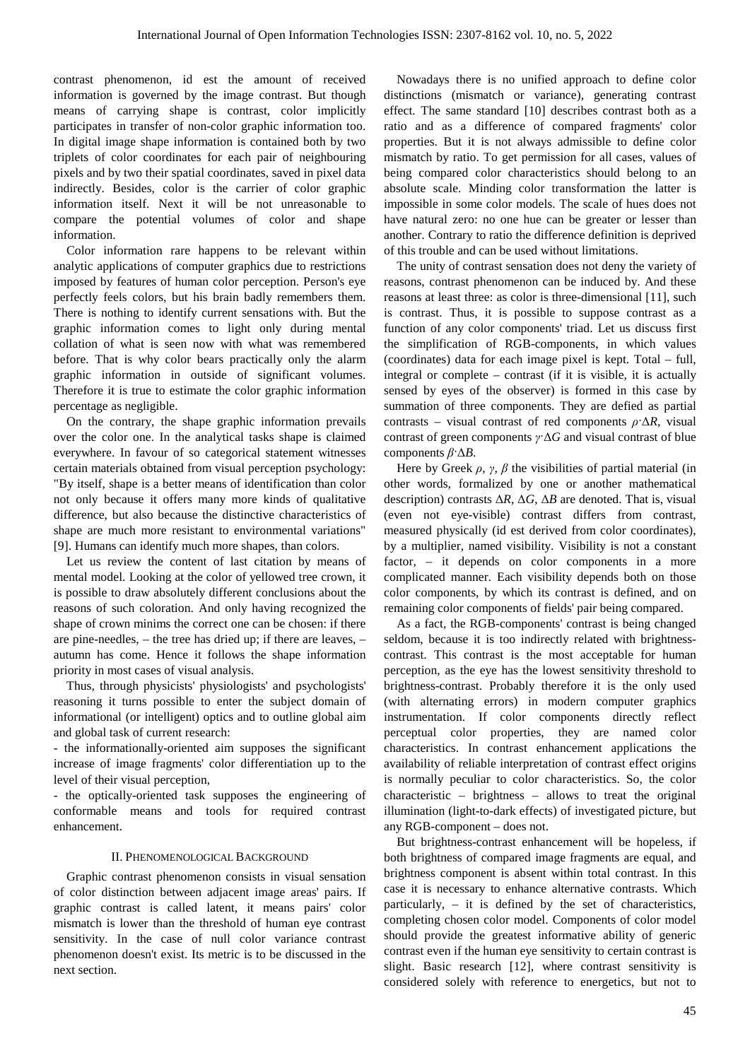contrast phenomenon, id est the amount of received information is governed by the image contrast. But though means of carrying shape is contrast, color implicitly participates in transfer of non-color graphic information too. In digital image shape information is contained both by two triplets of color coordinates for each pair of neighbouring pixels and by two their spatial coordinates, saved in pixel data indirectly. Besides, color is the carrier of color graphic information itself. Next it will be not unreasonable to compare the potential volumes of color and shape information.

Color information rare happens to be relevant within analytic applications of computer graphics due to restrictions imposed by features of human color perception. Person's eye perfectly feels colors, but his brain badly remembers them. There is nothing to identify current sensations with. But the graphic information comes to light only during mental collation of what is seen now with what was remembered before. That is why color bears practically only the alarm graphic information in outside of significant volumes. Therefore it is true to estimate the color graphic information percentage as negligible.

On the contrary, the shape graphic information prevails over the color one. In the analytical tasks shape is claimed everywhere. In favour of so categorical statement witnesses certain materials obtained from visual perception psychology: "By itself, shape is a better means of identification than color not only because it offers many more kinds of qualitative difference, but also because the distinctive characteristics of shape are much more resistant to environmental variations" [9]. Humans can identify much more shapes, than colors.

Let us review the content of last citation by means of mental model. Looking at the color of yellowed tree crown, it is possible to draw absolutely different conclusions about the reasons of such coloration. And only having recognized the shape of crown minims the correct one can be chosen: if there are pine-needles, – the tree has dried up; if there are leaves, – autumn has come. Hence it follows the shape information priority in most cases of visual analysis.

Thus, through physicists' physiologists' and psychologists' reasoning it turns possible to enter the subject domain of informational (or intelligent) optics and to outline global aim and global task of current research:

- the informationally-oriented aim supposes the significant increase of image fragments' color differentiation up to the level of their visual perception,

- the optically-oriented task supposes the engineering of conformable means and tools for required contrast enhancement.

## II. PHENOMENOLOGICAL BACKGROUND

Graphic contrast phenomenon consists in visual sensation of color distinction between adjacent image areas' pairs. If graphic contrast is called latent, it means pairs' color mismatch is lower than the threshold of human eye contrast sensitivity. In the case of null color variance contrast phenomenon doesn't exist. Its metric is to be discussed in the next section.

Nowadays there is no unified approach to define color distinctions (mismatch or variance), generating contrast effect. The same standard [10] describes contrast both as a ratio and as a difference of compared fragments' color properties. But it is not always admissible to define color mismatch by ratio. To get permission for all cases, values of being compared color characteristics should belong to an absolute scale. Minding color transformation the latter is impossible in some color models. The scale of hues does not have natural zero: no one hue can be greater or lesser than another. Contrary to ratio the difference definition is deprived of this trouble and can be used without limitations.

The unity of contrast sensation does not deny the variety of reasons, contrast phenomenon can be induced by. And these reasons at least three: as color is three-dimensional [11], such is contrast. Thus, it is possible to suppose contrast as a function of any color components' triad. Let us discuss first the simplification of RGB-components, in which values (coordinates) data for each image pixel is kept. Total – full, integral or complete – contrast (if it is visible, it is actually sensed by eyes of the observer) is formed in this case by summation of three components. They are defied as partial contrasts – visual contrast of red components  $\rho \Delta R$ , visual contrast of green components *γ*·Δ*G* and visual contrast of blue components *β*·Δ*B*.

Here by Greek  $\rho$ ,  $\gamma$ ,  $\beta$  the visibilities of partial material (in other words, formalized by one or another mathematical description) contrasts Δ*R*, Δ*G*, Δ*B* are denoted. That is, visual (even not eye-visible) contrast differs from contrast, measured physically (id est derived from color coordinates), by a multiplier, named visibility. Visibility is not а constant factor, – it depends on color components in a more complicated manner. Each visibility depends both on those color components, by which its contrast is defined, and on remaining color components of fields' pair being compared.

As a fact, the RGB-components' contrast is being changed seldom, because it is too indirectly related with brightnesscontrast. This contrast is the most acceptable for human perception, as the eye has the lowest sensitivity threshold to brightness-contrast. Probably therefore it is the only used (with alternating errors) in modern computer graphics instrumentation. If color components directly reflect perceptual color properties, they are named color characteristics. In contrast enhancement applications the availability of reliable interpretation of contrast effect origins is normally peculiar to color characteristics. So, the color characteristic – brightness – allows to treat the original illumination (light-to-dark effects) of investigated picture, but any RGB-component – does not.

But brightness-contrast enhancement will be hopeless, if both brightness of compared image fragments are equal, and brightness component is absent within total contrast. In this case it is necessary to enhance alternative contrasts. Which particularly, – it is defined by the set of characteristics, completing chosen color model. Components of color model should provide the greatest informative ability of generic contrast even if the human eye sensitivity to certain contrast is slight. Basic research [12], where contrast sensitivity is considered solely with reference to energetics, but not to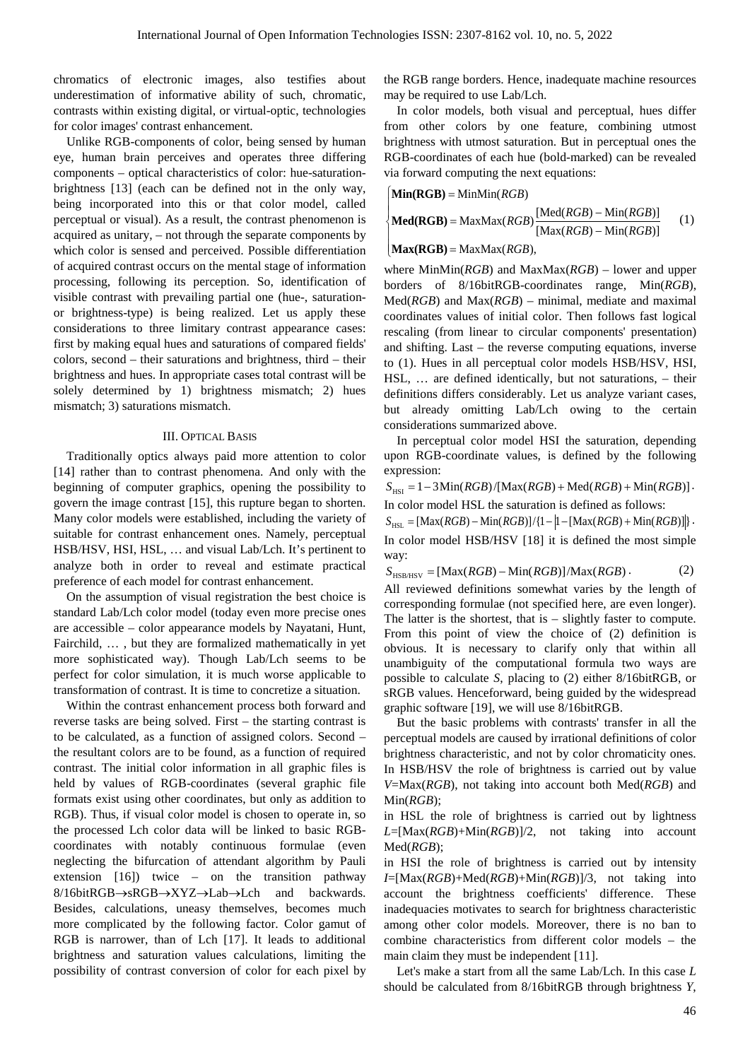chromatics of electronic images, also testifies about underestimation of informative ability of such, chromatic, contrasts within existing digital, or virtual-optic, technologies for color images' contrast enhancement.

Unlike RGB-components of color, being sensed by human eye, human brain perceives and operates three differing components – optical characteristics of color: hue-saturationbrightness [13] (each can be defined not in the only way, being incorporated into this or that color model, called perceptual or visual). As a result, the contrast phenomenon is acquired as unitary, – not through the separate components by which color is sensed and perceived. Possible differentiation of acquired contrast occurs on the mental stage of information processing, following its perception. So, identification of visible contrast with prevailing partial one (hue-, saturationor brightness-type) is being realized. Let us apply these considerations to three limitary contrast appearance cases: first by making equal hues and saturations of compared fields' colors, second – their saturations and brightness, third – their brightness and hues. In appropriate cases total contrast will be solely determined by 1) brightness mismatch; 2) hues mismatch; 3) saturations mismatch.

## III. OPTICAL BASIS

Traditionally optics always paid more attention to color [14] rather than to contrast phenomena. And only with the beginning of computer graphics, opening the possibility to govern the image contrast [15], this rupture began to shorten. Many color models were established, including the variety of suitable for contrast enhancement ones. Namely, perceptual HSB/HSV, HSI, HSL, … and visual Lab/Lch. It's pertinent to analyze both in order to reveal and estimate practical preference of each model for contrast enhancement.

On the assumption of visual registration the best choice is standard Lab/Lch color model (today even more precise ones are accessible – color appearance models by Nayatani, Hunt, Fairchild, … , but they are formalized mathematically in yet more sophisticated way). Though Lab/Lch seems to be perfect for color simulation, it is much worse applicable to transformation of contrast. It is time to concretize a situation.

Within the contrast enhancement process both forward and reverse tasks are being solved. First – the starting contrast is to be calculated, as a function of assigned colors. Second – the resultant colors are to be found, as a function of required contrast. The initial color information in all graphic files is held by values of RGB-coordinates (several graphic file formats exist using other coordinates, but only as addition to RGB). Thus, if visual color model is chosen to operate in, so the processed Lch color data will be linked to basic RGBcoordinates with notably continuous formulae (even neglecting the bifurcation of attendant algorithm by Pauli extension  $[16]$  twice – on the transition pathway 8/16bitRGB→sRGB→XYZ→Lab→Lch and backwards. Besides, calculations, uneasy themselves, becomes much more complicated by the following factor. Color gamut of RGB is narrower, than of Lch [17]. It leads to additional brightness and saturation values calculations, limiting the possibility of contrast conversion of color for each pixel by the RGB range borders. Hence, inadequate machine resources may be required to use Lab/Lch.

In color models, both visual and perceptual, hues differ from other colors by one feature, combining utmost brightness with utmost saturation. But in perceptual ones the RGB-coordinates of each hue (bold-marked) can be revealed via forward computing the next equations:

$$
|\textbf{Min}(RGB) = \text{MinMin}(RGB)|
$$

$$
\begin{cases} \text{Med}(RGB) = \text{MaxMax}(RGB) \frac{[\text{Med}(RGB) - \text{Min}(RGB)]}{[\text{Max}(RGB) - \text{Min}(RGB)]} \end{cases} (1)
$$

 $\big[ \textbf{Max}(\textbf{RGB}) = \text{MaxMax}(RGB), \$ 

where MinMin(*RGB*) and MaxMax(*RGB*) – lower and upper borders of 8/16bitRGB-coordinates range, Min(*RGB*), Med(*RGB*) and Max(*RGB*) – minimal, mediate and maximal coordinates values of initial color. Then follows fast logical rescaling (from linear to circular components' presentation) and shifting. Last – the reverse computing equations, inverse to (1). Hues in all perceptual color models HSB/HSV, HSI, HSL, … are defined identically, but not saturations, – their definitions differs considerably. Let us analyze variant cases, but already omitting Lab/Lch owing to the certain considerations summarized above.

In perceptual color model HSI the saturation, depending upon RGB-coordinate values, is defined by the following expression:

 $S<sub>HSI</sub> = 1 - 3Min(RGB)/[Max(RGB) + Med(RGB) + Min(RGB)].$ In color model HSL the saturation is defined as follows:

 $S_{\text{HST}} = [\text{Max}(RGB) - \text{Min}(RGB)] / \{1 - [1 - [\text{Max}(RGB) + \text{Min}(RGB)]\}$ .

In color model HSB/HSV [18] it is defined the most simple way:

 $S_{HSB/HSV} = [Max(RGB) – Min(RGB)]/Max(RGB)$ . (2)

All reviewed definitions somewhat varies by the length of corresponding formulae (not specified here, are even longer). The latter is the shortest, that is – slightly faster to compute. From this point of view the choice of (2) definition is obvious. It is necessary to clarify only that within all unambiguity of the computational formula two ways are possible to calculate *S*, placing to (2) either 8/16bitRGB, or sRGB values. Henceforward, being guided by the widespread graphic software [19], we will use 8/16bitRGB.

But the basic problems with contrasts' transfer in all the perceptual models are caused by irrational definitions of color brightness characteristic, and not by color chromaticity ones. In HSB/HSV the role of brightness is carried out by value *V*=Max(*RGB*), not taking into account both Med(*RGB*) and Min(*RGB*);

in HSL the role of brightness is carried out by lightness *L*=[Max(*RGB*)+Min(*RGB*)]/2, not taking into account Med(*RGB*);

in HSI the role of brightness is carried out by intensity *I*=[Max(*RGB*)+Med(*RGB*)+Min(*RGB*)]/3, not taking into account the brightness coefficients' difference. These inadequacies motivates to search for brightness characteristic among other color models. Moreover, there is no ban to combine characteristics from different color models – the main claim they must be independent [11].

Let's make a start from all the same Lab/Lch. In this case *L* should be calculated from 8/16bitRGB through brightness *Y*,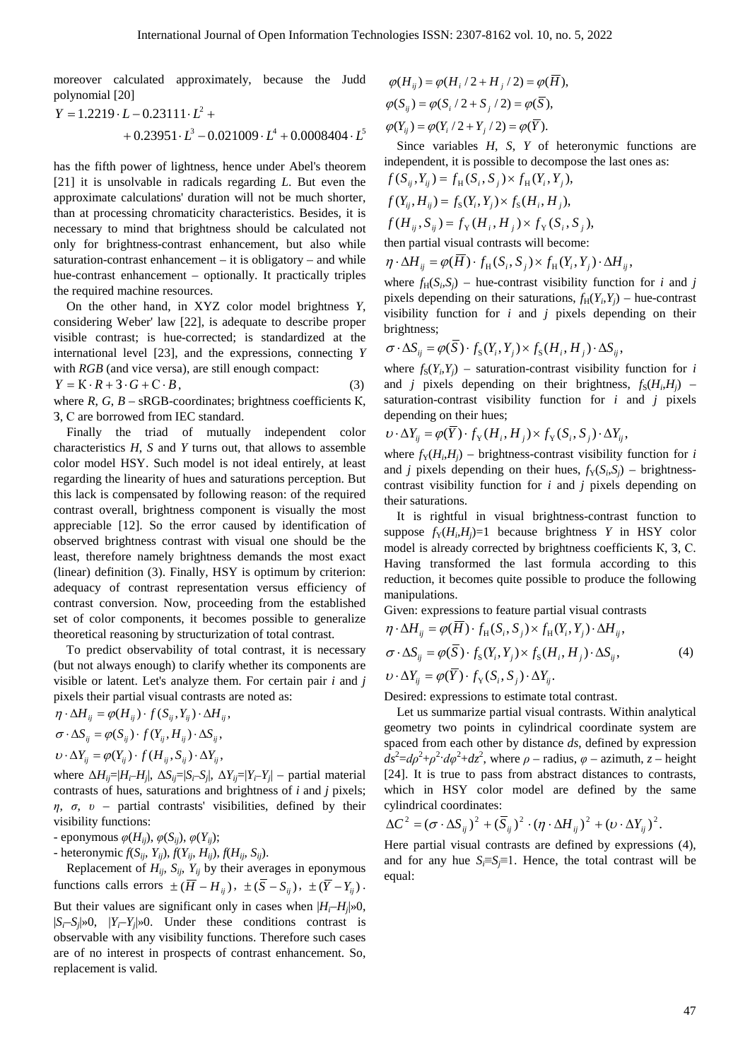moreover calculated approximately, because the Judd polynomial [20]

$$
Y = 1.2219 \cdot L - 0.23111 \cdot L^2 ++ 0.23951 \cdot L^3 - 0.021009 \cdot L^4 + 0.0008404 \cdot L^5
$$

has the fifth power of lightness, hence under Abel's theorem [21] it is unsolvable in radicals regarding *L*. But even the approximate calculations' duration will not be much shorter, than at processing chromaticity characteristics. Besides, it is necessary to mind that brightness should be calculated not only for brightness-contrast enhancement, but also while saturation-contrast enhancement  $-$  it is obligatory  $-$  and while hue-contrast enhancement – optionally. It practically triples the required machine resources.

On the other hand, in XYZ color model brightness *Y*, considering Weber' law [22], is adequate to describe proper visible contrast; is hue-corrected; is standardized at the international level [23], and the expressions, connecting *Y* with *RGB* (and vice versa), are still enough compact:

$$
Y = K \cdot R + 3 \cdot G + C \cdot B, \tag{3}
$$

where  $R$ ,  $G$ ,  $B$  –  $sRGB$ -coordinates; brightness coefficients  $K$ , З, С are borrowed from IEC standard.

Finally the triad of mutually independent color characteristics *H*, *S* and *Y* turns out, that allows to assemble color model HSY. Such model is not ideal entirely, at least regarding the linearity of hues and saturations perception. But this lack is compensated by following reason: of the required contrast overall, brightness component is visually the most appreciable [12]. So the error caused by identification of observed brightness contrast with visual one should be the least, therefore namely brightness demands the most exact (linear) definition (3). Finally, HSY is optimum by criterion: adequacy of contrast representation versus efficiency of contrast conversion. Now, proceeding from the established set of color components, it becomes possible to generalize theoretical reasoning by structurization of total contrast.

To predict observability of total contrast, it is necessary (but not always enough) to clarify whether its components are visible or latent. Let's analyze them. For certain pair *i* and *j* pixels their partial visual contrasts are noted as:

$$
\eta \cdot \Delta H_{ij} = \varphi(H_{ij}) \cdot f(S_{ij}, Y_{ij}) \cdot \Delta H_{ij},
$$
  
\n
$$
\sigma \cdot \Delta S_{ij} = \varphi(S_{ij}) \cdot f(Y_{ij}, H_{ij}) \cdot \Delta S_{ij},
$$
  
\n
$$
\upsilon \cdot \Delta Y_{ij} = \varphi(Y_{ij}) \cdot f(H_{ij}, S_{ij}) \cdot \Delta Y_{ij},
$$

where  $\Delta H_{ij} = |H_i - H_j|$ ,  $\Delta S_{ij} = |S_i - S_j|$ ,  $\Delta Y_{ij} = |Y_i - Y_j|$  – partial material contrasts of hues, saturations and brightness of *i* and *j* pixels; *η*, *σ*, *υ* – partial contrasts' visibilities, defined by their visibility functions:

- eponymous  $\varphi(H_{ij}), \varphi(S_{ij}), \varphi(Y_{ij});$ 

- heteronymic  $f(S_{ij}, Y_{ij})$ ,  $f(Y_{ij}, H_{ij})$ ,  $f(H_{ij}, S_{ij})$ .

Replacement of  $H_{ij}$ ,  $S_{ij}$ ,  $Y_{ij}$  by their averages in eponymous functions calls errors  $\pm (\overline{H} - H_{ii})$ ,  $\pm (\overline{S} - S_{ii})$ ,  $\pm (\overline{Y} - Y_{ii})$ .

But their values are significant only in cases when  $|H_i-H_j|\gg 0$ ,  $|S_i-S_j|\gg 0$ ,  $|Y_i-Y_j|\gg 0$ . Under these conditions contrast is observable with any visibility functions. Therefore such cases are of no interest in prospects of contrast enhancement. So, replacement is valid.

$$
\varphi(H_{ij}) = \varphi(H_i / 2 + H_j / 2) = \varphi(\overline{H}),
$$
  
\n
$$
\varphi(S_{ij}) = \varphi(S_i / 2 + S_j / 2) = \varphi(\overline{S}),
$$
  
\n
$$
\varphi(Y_{ij}) = \varphi(Y_i / 2 + Y_j / 2) = \varphi(\overline{Y}).
$$

Since variables *H*, *S*, *Y* of heteronymic functions are independent, it is possible to decompose the last ones as:  $\begin{bmatrix} \mathcal{L}(0, V) & \mathcal{L}(0, 0) & \mathcal{L}(V, V) \end{bmatrix}$ 

$$
f(S_{ij}, Y_{ij}) = f_H(S_i, S_j) \times f_H(Y_i, Y_j),
$$
  
\n
$$
f(Y_{ij}, H_{ij}) = f_S(Y_i, Y_j) \times f_S(H_i, H_j),
$$
  
\n
$$
f(H_{ij}, S_{ij}) = f_Y(H_i, H_j) \times f_Y(S_i, S_j),
$$
  
\nthen partial visual contrasts will become:

 $\eta \cdot \Delta H_{ij} = \varphi(\overline{H}) \cdot f_{\text{H}}(S_i, S_j) \times f_{\text{H}}(Y_i, Y_j) \cdot \Delta H_{ij}$ 

where  $f_H(S_i, S_j)$  – hue-contrast visibility function for *i* and *j* pixels depending on their saturations,  $f_H(Y_i, Y_j)$  – hue-contrast visibility function for *i* and *j* pixels depending on their brightness;

$$
\sigma \cdot \Delta S_{ij} = \varphi(\overline{S}) \cdot f_{S}(Y_{i}, Y_{j}) \times f_{S}(H_{i}, H_{j}) \cdot \Delta S_{ij},
$$

where  $f_S(Y_i, Y_j)$  – saturation-contrast visibility function for *i* and *j* pixels depending on their brightness,  $f_S(H_i, H_j)$  – saturation-contrast visibility function for *i* and *j* pixels depending on their hues;

$$
\upsilon \cdot \Delta Y_{ij} = \varphi(\overline{Y}) \cdot f_{\mathrm{Y}}(H_i, H_j) \times f_{\mathrm{Y}}(S_i, S_j) \cdot \Delta Y_{ij},
$$

where  $f_Y(H_i, H_j)$  – brightness-contrast visibility function for *i* and *j* pixels depending on their hues,  $f_Y(S_i, S_j)$  – brightnesscontrast visibility function for *i* and *j* pixels depending on their saturations.

It is rightful in visual brightness-contrast function to suppose  $f_Y(H_i, H_j)=1$  because brightness Y in HSY color model is already corrected by brightness coefficients K, 3, C. Having transformed the last formula according to this reduction, it becomes quite possible to produce the following manipulations.

Given: expressions to feature partial visual contrasts

$$
\eta \cdot \Delta H_{ij} = \varphi(H) \cdot f_H(S_i, S_j) \times f_H(Y_i, Y_j) \cdot \Delta H_{ij},
$$
  
\n
$$
\sigma \cdot \Delta S_{ij} = \varphi(\overline{S}) \cdot f_S(Y_i, Y_j) \times f_S(H_i, H_j) \cdot \Delta S_{ij},
$$
  
\n
$$
\upsilon \cdot \Delta Y_{ij} = \varphi(\overline{Y}) \cdot f_Y(S_i, S_j) \cdot \Delta Y_{ij}.
$$
\n(4)

Desired: expressions to estimate total contrast.

Let us summarize partial visual contrasts. Within analytical geometry two points in cylindrical coordinate system are spaced from each other by distance *ds*, defined by expression  $ds^2 = d\rho^2 + \rho^2 \cdot d\varphi^2 + dz^2$ , where  $\rho$  – radius,  $\varphi$  – azimuth, *z* – height [24]. It is true to pass from abstract distances to contrasts, which in HSY color model are defined by the same cylindrical coordinates:

$$
\Delta C^{2} = (\sigma \cdot \Delta S_{ij})^{2} + (\overline{S}_{ij})^{2} \cdot (\eta \cdot \Delta H_{ij})^{2} + (\nu \cdot \Delta Y_{ij})^{2}.
$$

Here partial visual contrasts are defined by expressions (4), and for any hue  $S_i \equiv S_i \equiv 1$ . Hence, the total contrast will be equal: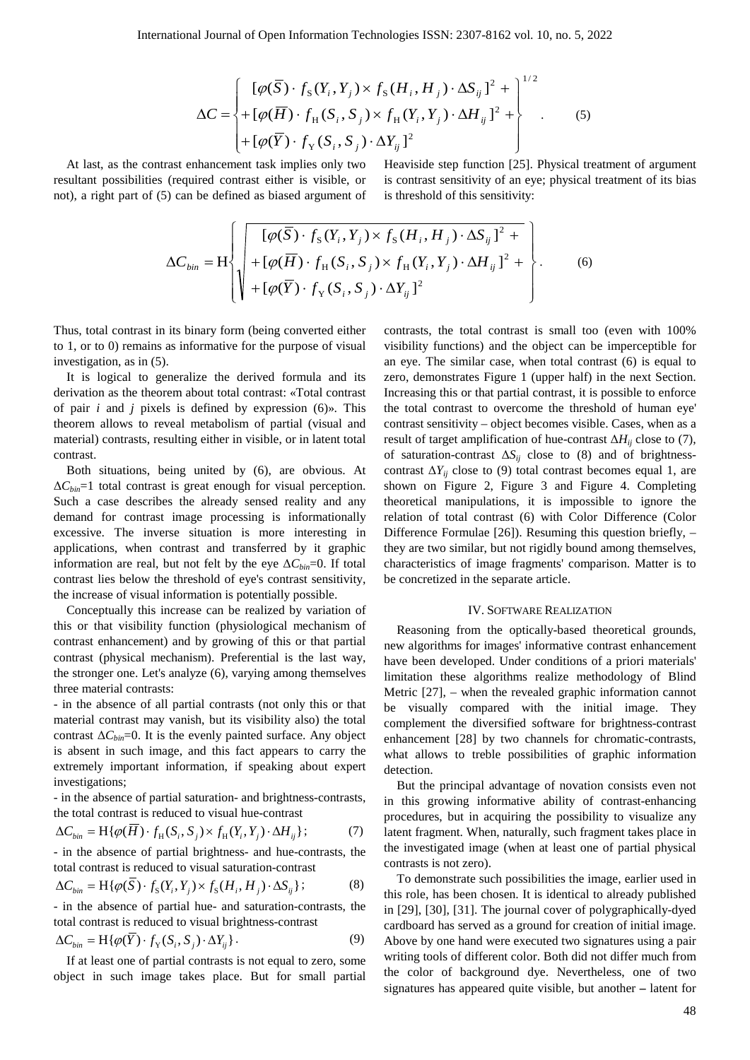$$
\Delta C = \begin{cases} [\varphi(\overline{S}) \cdot f_{\rm s}(Y_i, Y_j) \times f_{\rm s}(H_i, H_j) \cdot \Delta S_{ij}]^2 + \\ + [\varphi(\overline{H}) \cdot f_{\rm H}(S_i, S_j) \times f_{\rm H}(Y_i, Y_j) \cdot \Delta H_{ij}]^2 + \\ + [\varphi(\overline{Y}) \cdot f_{\rm Y}(S_i, S_j) \cdot \Delta Y_{ij}]^2 \end{cases}
$$
(5)

At last, as the contrast enhancement task implies only two resultant possibilities (required contrast either is visible, or not), a right part of (5) can be defined as biased argument of Heaviside step function [25]. Physical treatment of argument is contrast sensitivity of an eye; physical treatment of its bias is threshold of this sensitivity:

$$
\Delta C_{bin} = H \left\{ \begin{aligned} &\left[ \varphi(\overline{S}) \cdot f_{S}(Y_{i}, Y_{j}) \times f_{S}(H_{i}, H_{j}) \cdot \Delta S_{ij} \right]^{2} + \\ &+ \left[ \varphi(\overline{H}) \cdot f_{H}(S_{i}, S_{j}) \times f_{H}(Y_{i}, Y_{j}) \cdot \Delta H_{ij} \right]^{2} + \\ &+ \left[ \varphi(\overline{Y}) \cdot f_{Y}(S_{i}, S_{j}) \cdot \Delta Y_{ij} \right]^{2} \end{aligned} \right\}.
$$
 (6)

Thus, total contrast in its binary form (being converted either to 1, or to 0) remains as informative for the purpose of visual investigation, as in (5).

It is logical to generalize the derived formula and its derivation as the theorem about total contrast: «Total contrast of pair *i* and *j* pixels is defined by expression (6)». This theorem allows to reveal metabolism of partial (visual and material) contrasts, resulting either in visible, or in latent total contrast.

Both situations, being united by (6), are obvious. At  $\Delta C_{bin}$ =1 total contrast is great enough for visual perception. Such a case describes the already sensed reality and any demand for contrast image processing is informationally excessive. The inverse situation is more interesting in applications, when contrast and transferred by it graphic information are real, but not felt by the eye  $\Delta C_{bin}=0$ . If total contrast lies below the threshold of eye's contrast sensitivity, the increase of visual information is potentially possible.

Conceptually this increase can be realized by variation of this or that visibility function (physiological mechanism of contrast enhancement) and by growing of this or that partial contrast (physical mechanism). Preferential is the last way, the stronger one. Let's analyze (6), varying among themselves three material contrasts:

- in the absence of all partial contrasts (not only this or that material contrast may vanish, but its visibility also) the total contrast  $\Delta C_{bin}=0$ . It is the evenly painted surface. Any object is absent in such image, and this fact appears to carry the extremely important information, if speaking about expert investigations;

- in the absence of partial saturation- and brightness-contrasts, the total contrast is reduced to visual hue-contrast

$$
\Delta C_{bin} = \mathcal{H}\{\varphi(\overline{H}) \cdot f_{\mathcal{H}}(S_i, S_j) \times f_{\mathcal{H}}(Y_i, Y_j) \cdot \Delta H_{ij}\};\tag{7}
$$

- in the absence of partial brightness- and hue-contrasts, the total contrast is reduced to visual saturation-contrast

$$
\Delta C_{bin} = \mathcal{H}\{\varphi(\overline{S}) \cdot f_{\mathcal{S}}(Y_i, Y_j) \times f_{\mathcal{S}}(H_i, H_j) \cdot \Delta S_{ij}\};\tag{8}
$$

- in the absence of partial hue- and saturation-contrasts, the total contrast is reduced to visual brightness-contrast

$$
\Delta C_{bin} = \mathbf{H}\{\varphi(\overline{Y}) \cdot f_{\mathbf{Y}}(S_i, S_j) \cdot \Delta Y_{ij}\}.
$$
\n(9)

If at least one of partial contrasts is not equal to zero, some object in such image takes place. But for small partial

contrasts, the total contrast is small too (even with 100% visibility functions) and the object can be imperceptible for an eye. The similar case, when total contrast (6) is equal to zero, demonstrates Figure 1 (upper half) in the next Section. Increasing this or that partial contrast, it is possible to enforce the total contrast to overcome the threshold of human eye' contrast sensitivity – object becomes visible. Cases, when as a result of target amplification of hue-contrast  $\Delta H_{ii}$  close to (7), of saturation-contrast  $\Delta S_{ij}$  close to (8) and of brightnesscontrast  $\Delta Y_{ij}$  close to (9) total contrast becomes equal 1, are shown on Figure 2, Figure 3 and Figure 4. Completing theoretical manipulations, it is impossible to ignore the relation of total contrast (6) with Color Difference (Color Difference Formulae [26]). Resuming this question briefly, – they are two similar, but not rigidly bound among themselves, characteristics of image fragments' comparison. Matter is to be concretized in the separate article.

## IV. SOFTWARE REALIZATION

Reasoning from the optically-based theoretical grounds, new algorithms for images' informative contrast enhancement have been developed. Under conditions of a priori materials' limitation these algorithms realize methodology of Blind Metric [27], – when the revealed graphic information cannot be visually compared with the initial image. They complement the diversified software for brightness-contrast enhancement [28] by two channels for chromatic-contrasts, what allows to treble possibilities of graphic information detection.

But the principal advantage of novation consists even not in this growing informative ability of contrast-enhancing procedures, but in acquiring the possibility to visualize any latent fragment. When, naturally, such fragment takes place in the investigated image (when at least one of partial physical contrasts is not zero).

To demonstrate such possibilities the image, earlier used in this role, has been chosen. It is identical to already published in [29], [30], [31]. The journal cover of polygraphically-dyed cardboard has served as a ground for creation of initial image. Above by one hand were executed two signatures using a pair writing tools of different color. Both did not differ much from the color of background dye. Nevertheless, one of two signatures has appeared quite visible, but another **–** latent for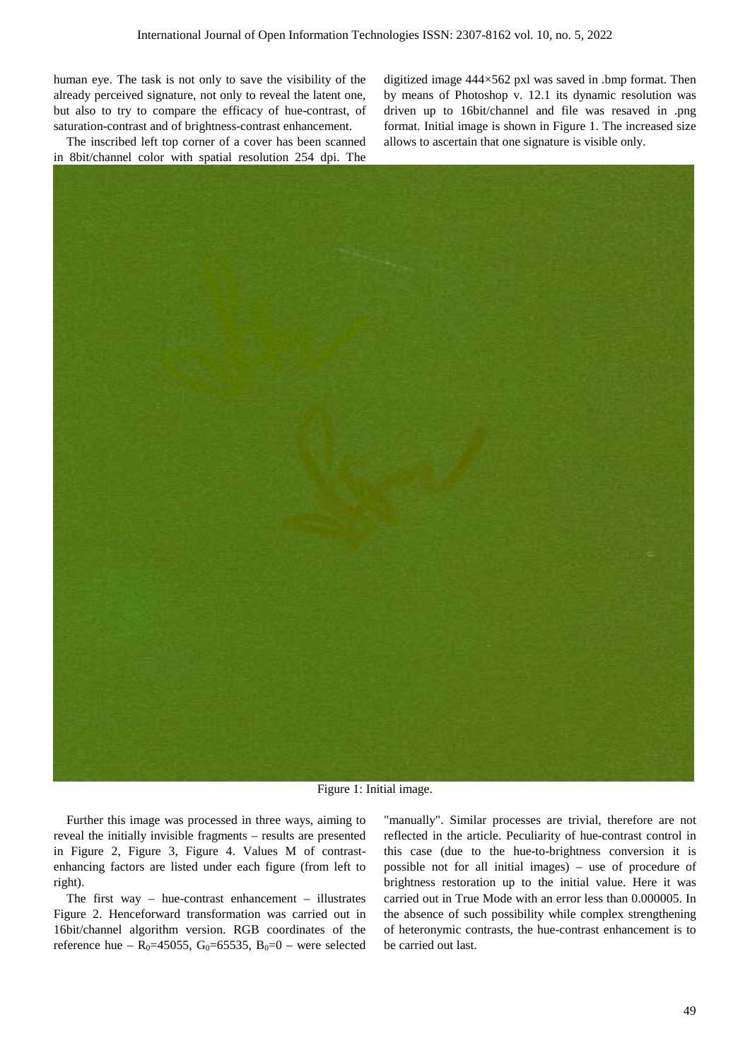human eye. The task is not only to save the visibility of the already perceived signature, not only to reveal the latent one, but also to try to compare the efficacy of hue-contrast, of saturation-contrast and of brightness-contrast enhancement.

The inscribed left top corner of a cover has been scanned in 8bit/channel color with spatial resolution 254 dpi. The digitized image 444×562 pxl was saved in .bmp format. Then by means of Photoshop v. 12.1 its dynamic resolution was driven up to 16bit/channel and file was resaved in .png format. Initial image is shown in Figure 1. The increased size allows to ascertain that one signature is visible only.



Figure 1: Initial image.

Further this image was processed in three ways, aiming to reveal the initially invisible fragments – results are presented in Figure 2, Figure 3, Figure 4. Values M of contrastenhancing factors are listed under each figure (from left to right).

The first way – hue-contrast enhancement – illustrates Figure 2. Henceforward transformation was carried out in 16bit/channel algorithm version. RGB coordinates of the reference hue –  $R_0$ =45055, G<sub>0</sub>=65535, B<sub>0</sub>=0 – were selected

"manually". Similar processes are trivial, therefore are not reflected in the article. Peculiarity of hue-contrast control in this case (due to the hue-to-brightness conversion it is possible not for all initial images) – use of procedure of brightness restoration up to the initial value. Here it was carried out in True Mode with an error less than 0.000005. In the absence of such possibility while complex strengthening of heteronymic contrasts, the hue-contrast enhancement is to be carried out last.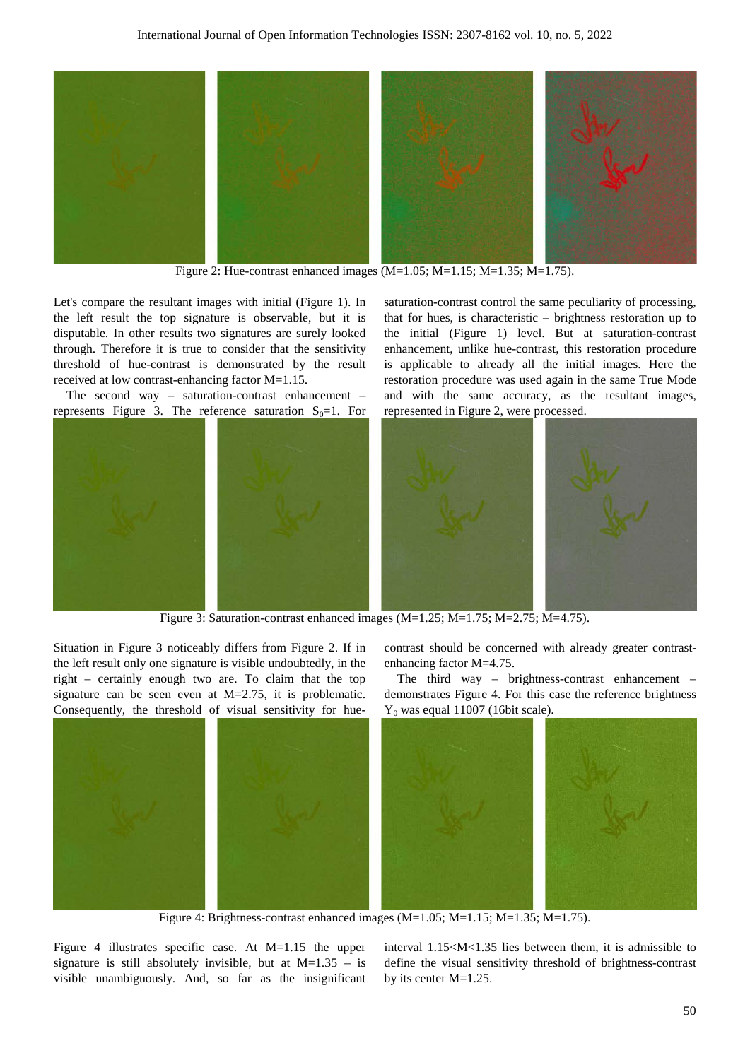

Figure 2: Hue-contrast enhanced images  $(M=1.05; M=1.15; M=1.35; M=1.75)$ .

Let's compare the resultant images with initial (Figure 1). In the left result the top signature is observable, but it is disputable. In other results two signatures are surely looked through. Therefore it is true to consider that the sensitivity threshold of hue-contrast is demonstrated by the result received at low contrast-enhancing factor M=1.15.

The second way – saturation-contrast enhancement – represents Figure 3. The reference saturation  $S_0=1$ . For saturation-contrast control the same peculiarity of processing, that for hues, is characteristic – brightness restoration up to the initial (Figure 1) level. But at saturation-contrast enhancement, unlike hue-contrast, this restoration procedure is applicable to already all the initial images. Here the restoration procedure was used again in the same True Mode and with the same accuracy, as the resultant images, represented in Figure 2, were processed.



Figure 3: Saturation-contrast enhanced images (M=1.25; M=1.75; M=2.75; M=4.75).

Situation in Figure 3 noticeably differs from Figure 2. If in the left result only one signature is visible undoubtedly, in the right – certainly enough two are. To claim that the top signature can be seen even at M=2.75, it is problematic. Consequently, the threshold of visual sensitivity for hue-

contrast should be concerned with already greater contrastenhancing factor M=4.75.

The third way – brightness-contrast enhancement – demonstrates Figure 4. For this case the reference brightness  $Y_0$  was equal 11007 (16bit scale).



Figure 4: Brightness-contrast enhanced images (M=1.05; M=1.15; M=1.35; M=1.75).

Figure 4 illustrates specific case. At M=1.15 the upper signature is still absolutely invisible, but at  $M=1.35 -$  is visible unambiguously. And, so far as the insignificant interval 1.15<M<1.35 lies between them, it is admissible to define the visual sensitivity threshold of brightness-contrast by its center M=1.25.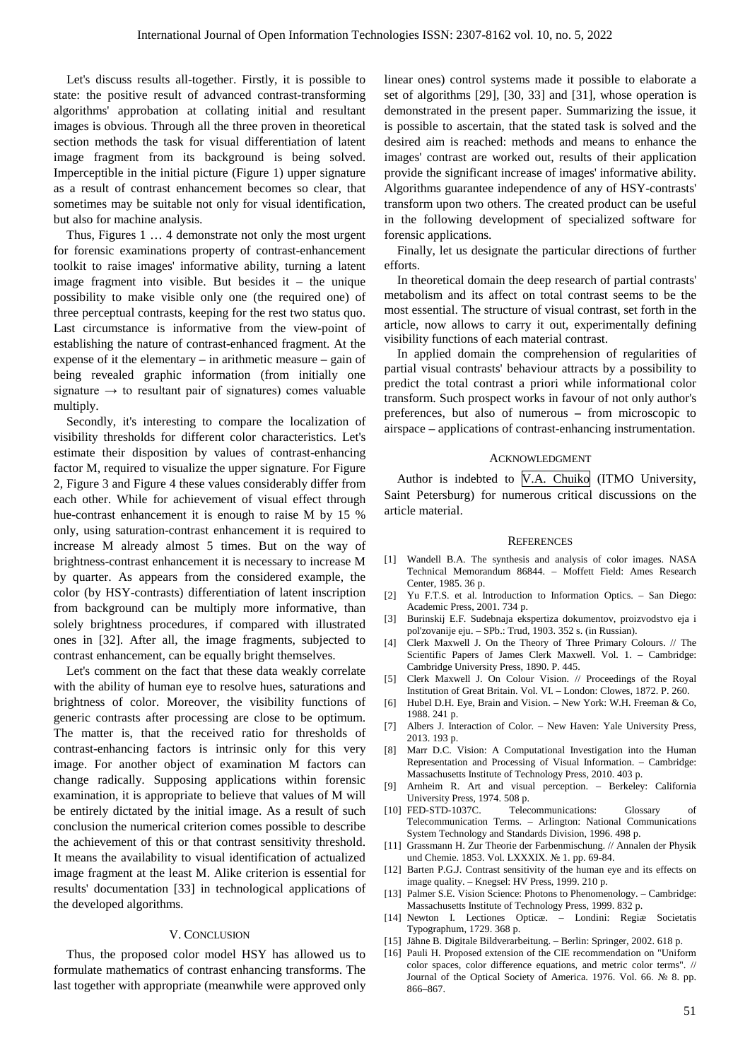Let's discuss results all-together. Firstly, it is possible to state: the positive result of advanced contrast-transforming algorithms' approbation at collating initial and resultant images is obvious. Through all the three proven in theoretical section methods the task for visual differentiation of latent image fragment from its background is being solved. Imperceptible in the initial picture (Figure 1) upper signature as a result of contrast enhancement becomes so clear, that sometimes may be suitable not only for visual identification, but also for machine analysis.

Thus, Figures 1 … 4 demonstrate not only the most urgent for forensic examinations property of contrast-enhancement toolkit to raise images' informative ability, turning a latent image fragment into visible. But besides it – the unique possibility to make visible only one (the required one) of three perceptual contrasts, keeping for the rest two status quo. Last circumstance is informative from the view-point of establishing the nature of contrast-enhanced fragment. At the expense of it the elementary **–** in arithmetic measure **–** gain of being revealed graphic information (from initially one signature  $\rightarrow$  to resultant pair of signatures) comes valuable multiply.

Secondly, it's interesting to compare the localization of visibility thresholds for different color characteristics. Let's estimate their disposition by values of contrast-enhancing factor M, required to visualize the upper signature. For Figure 2, Figure 3 and Figure 4 these values considerably differ from each other. While for achievement of visual effect through hue-contrast enhancement it is enough to raise M by 15 % only, using saturation-contrast enhancement it is required to increase M already almost 5 times. But on the way of brightness-contrast enhancement it is necessary to increase M by quarter. As appears from the considered example, the color (by HSY-contrasts) differentiation of latent inscription from background can be multiply more informative, than solely brightness procedures, if compared with illustrated ones in [32]. After all, the image fragments, subjected to contrast enhancement, can be equally bright themselves.

Let's comment on the fact that these data weakly correlate with the ability of human eye to resolve hues, saturations and brightness of color. Moreover, the visibility functions of generic contrasts after processing are close to be optimum. The matter is, that the received ratio for thresholds of contrast-enhancing factors is intrinsic only for this very image. For another object of examination M factors can change radically. Supposing applications within forensic examination, it is appropriate to believe that values of M will be entirely dictated by the initial image. As a result of such conclusion the numerical criterion comes possible to describe the achievement of this or that contrast sensitivity threshold. It means the availability to visual identification of actualized image fragment at the least M. Alike criterion is essential for results' documentation [33] in technological applications of the developed algorithms.

#### V. CONCLUSION

Thus, the proposed color model HSY has allowed us to formulate mathematics of contrast enhancing transforms. The last together with appropriate (meanwhile were approved only linear ones) control systems made it possible to elaborate a set of algorithms [29], [30, 33] and [31], whose operation is demonstrated in the present paper. Summarizing the issue, it is possible to ascertain, that the stated task is solved and the desired aim is reached: methods and means to enhance the images' contrast are worked out, results of their application provide the significant increase of images' informative ability. Algorithms guarantee independence of any of HSY-contrasts' transform upon two others. The created product can be useful in the following development of specialized software for forensic applications.

Finally, let us designate the particular directions of further efforts.

In theoretical domain the deep research of partial contrasts' metabolism and its affect on total contrast seems to be the most essential. The structure of visual contrast, set forth in the article, now allows to carry it out, experimentally defining visibility functions of each material contrast.

In applied domain the comprehension of regularities of partial visual contrasts' behaviour attracts by a possibility to predict the total contrast a priori while informational color transform. Such prospect works in favour of not only author's preferences, but also of numerous **–** from microscopic to airspace **–** applications of contrast-enhancing instrumentation.

#### ACKNOWLEDGMENT

Author is indebted to V.A. Chuiko (ITMO University, Saint Petersburg) for numerous critical discussions on the article material.

#### **REFERENCES**

- [1] Wandell B.A. The synthesis and analysis of color images. NASA Technical Memorandum 86844. – Moffett Field: Ames Research Center, 1985. 36 p.
- [2] Yu F.T.S. et al. Introduction to Information Optics. San Diego: Academic Press, 2001. 734 p.
- [3] Burinskij E.F. Sudebnaja ekspertiza dokumentov, proizvodstvo eja i pol'zovanije eju. – SPb.: Trud, 1903. 352 s. (in Russian).
- [4] Clerk Maxwell J. On the Theory of Three Primary Colours. // The Scientific Papers of James Clerk Maxwell. Vol. 1. – Cambridge: Cambridge University Press, 1890. P. 445.
- [5] Clerk Maxwell J. On Colour Vision. // Proceedings of the Royal Institution of Great Britain. Vol. VI. – London: Clowes, 1872. P. 260.
- [6] Hubel D.H. Eye, Brain and Vision. New York: W.H. Freeman & Co, 1988. 241 p.
- [7] Albers J. Interaction of Color. New Haven: Yale University Press, 2013. 193 p.
- [8] Marr D.C. Vision: A Computational Investigation into the Human Representation and Processing of Visual Information. – Cambridge: Massachusetts Institute of Technology Press, 2010. 403 p.
- [9] Arnheim R. Art and visual perception. Berkeley: California University Press, 1974. 508 p.
- [10] FED-STD-1037C. Telecommunications: Glossary of Telecommunication Terms. – Arlington: National Communications System Technology and Standards Division, 1996. 498 p.
- [11] Grassmann H. Zur Theorie der Farbenmischung. // Annalen der Physik und Chemie. 1853. Vol. LXXXIX. № 1. pp. 69-84.
- [12] Barten P.G.J. Contrast sensitivity of the human eye and its effects on image quality. – Knegsel: HV Press, 1999. 210 p.
- [13] Palmer S.E. Vision Science: Photons to Phenomenology. Cambridge: Massachusetts Institute of Technology Press, 1999. 832 p.
- [14] Newton I. Lectiones Opticæ. Londini: Regiæ Societatis Typographum, 1729. 368 p.
- [15] Jähne B. Digitale Bildverarbeitung. Berlin: Springer, 2002. 618 p.
- [16] Pauli H. Proposed extension of the CIE recommendation on "Uniform color spaces, color difference equations, and metric color terms". // Journal of the Optical Society of America. 1976. Vol. 66. № 8. pp. 866–867.